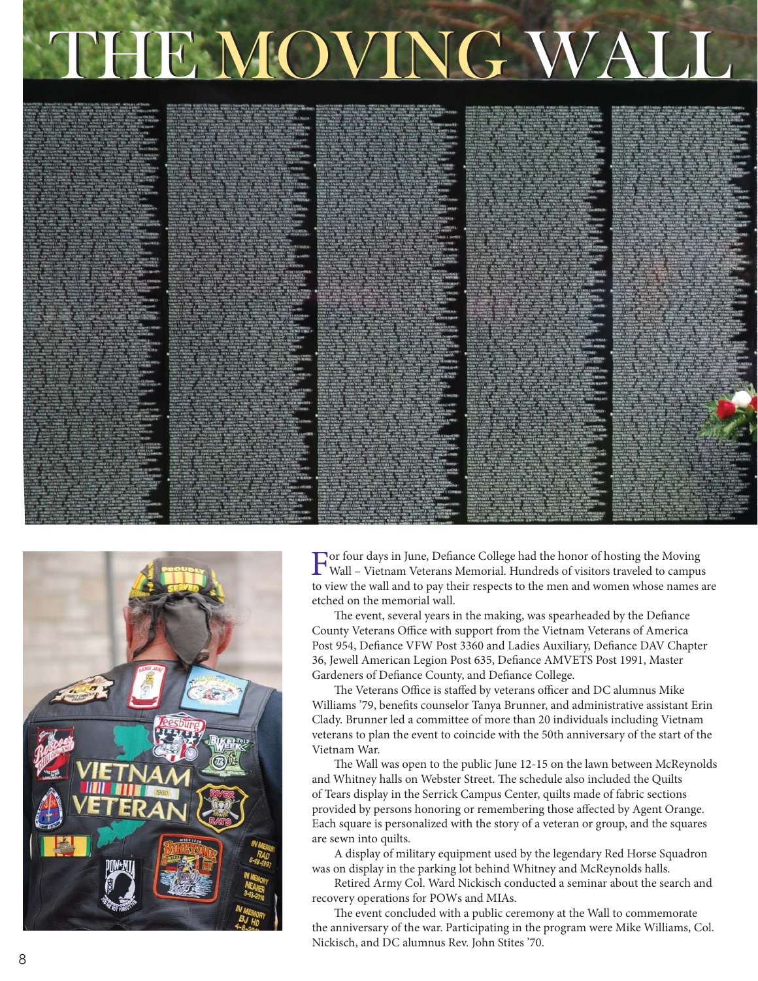## THE MOVING WALL





For four days in June, Defiance College had the honor of hosting the Moving<br>Wall – Vietnam Veterano Momenial II Wall – Vietnam Veterans Memorial. Hundreds of visitors traveled to campus to view the wall and to pay their respects to the men and women whose names are etched on the memorial wall.

The event, several years in the making, was spearheaded by the Defiance County Veterans Office with support from the Vietnam Veterans of America Post 954, Defiance VFW Post 3360 and Ladies Auxiliary, Defiance DAV Chapter 36, Jewell American Legion Post 635, Defiance AMVETS Post 1991, Master Gardeners of Defiance County, and Defiance College.

The Veterans Office is staffed by veterans officer and DC alumnus Mike Williams '79, benefits counselor Tanya Brunner, and administrative assistant Erin Clady. Brunner led a committee of more than 20 individuals including Vietnam veterans to plan the event to coincide with the 50th anniversary of the start of the Vietnam War.

The Wall was open to the public June 12-15 on the lawn between McReynolds and Whitney halls on Webster Street. The schedule also included the Quilts of Tears display in the Serrick Campus Center, quilts made of fabric sections provided by persons honoring or remembering those affected by Agent Orange. Each square is personalized with the story of a veteran or group, and the squares are sewn into quilts.

A display of military equipment used by the legendary Red Horse Squadron was on display in the parking lot behind Whitney and McReynolds halls.

Retired Army Col. Ward Nickisch conducted a seminar about the search and recovery operations for POWs and MIAs.

The event concluded with a public ceremony at the Wall to commemorate the anniversary of the war. Participating in the program were Mike Williams, Col. Nickisch, and DC alumnus Rev. John Stites '70.